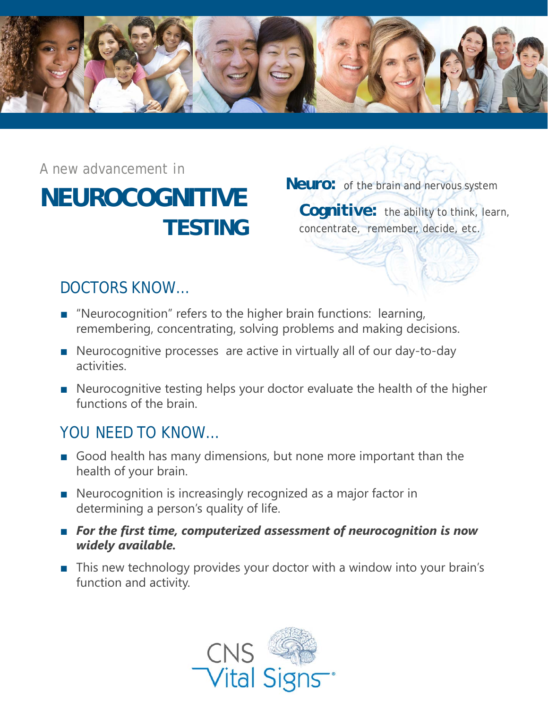

**NEUROCOGNITIVE TESTING** *A new advancement in* 

**Neuro:** of the brain and nervous system

*Cognitive:* the ability to think, learn, concentrate, remember, decide, etc.

# DOCTORS KNOW…

- "Neurocognition" refers to the higher brain functions: learning, remembering, concentrating, solving problems and making decisions.
- Neurocognitive processes are active in virtually all of our day-to-day activities.
- Neurocognitive testing helps your doctor evaluate the health of the higher functions of the brain.

# YOU NEED TO KNOW…

- Good health has many dimensions, but none more important than the health of your brain.
- Neurocognition is increasingly recognized as a major factor in determining a person's quality of life.
- For the first time, computerized assessment of neurocognition is now *widely available.*
- This new technology provides your doctor with a window into your brain's function and activity.